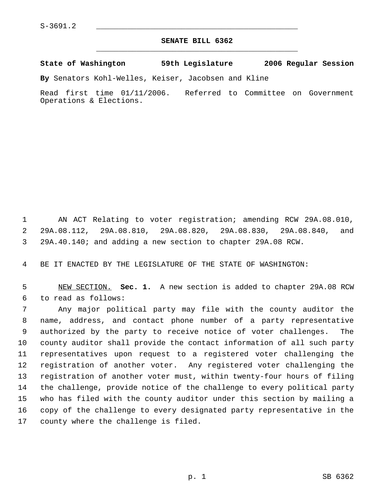## **SENATE BILL 6362** \_\_\_\_\_\_\_\_\_\_\_\_\_\_\_\_\_\_\_\_\_\_\_\_\_\_\_\_\_\_\_\_\_\_\_\_\_\_\_\_\_\_\_\_\_

**State of Washington 59th Legislature 2006 Regular Session**

**By** Senators Kohl-Welles, Keiser, Jacobsen and Kline

Read first time 01/11/2006. Referred to Committee on Government Operations & Elections.

 AN ACT Relating to voter registration; amending RCW 29A.08.010, 29A.08.112, 29A.08.810, 29A.08.820, 29A.08.830, 29A.08.840, and 29A.40.140; and adding a new section to chapter 29A.08 RCW.

BE IT ENACTED BY THE LEGISLATURE OF THE STATE OF WASHINGTON:

 NEW SECTION. **Sec. 1.** A new section is added to chapter 29A.08 RCW to read as follows:

 Any major political party may file with the county auditor the name, address, and contact phone number of a party representative authorized by the party to receive notice of voter challenges. The county auditor shall provide the contact information of all such party representatives upon request to a registered voter challenging the registration of another voter. Any registered voter challenging the registration of another voter must, within twenty-four hours of filing the challenge, provide notice of the challenge to every political party who has filed with the county auditor under this section by mailing a copy of the challenge to every designated party representative in the county where the challenge is filed.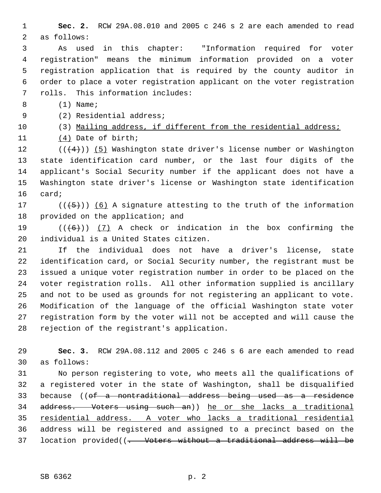**Sec. 2.** RCW 29A.08.010 and 2005 c 246 s 2 are each amended to read as follows:

 As used in this chapter: "Information required for voter registration" means the minimum information provided on a voter registration application that is required by the county auditor in order to place a voter registration applicant on the voter registration rolls. This information includes:

8 (1) Name;

(2) Residential address;

(3) Mailing address, if different from the residential address;

(4) Date of birth;

12 ( $(\langle 4 \rangle)$ ) (5) Washington state driver's license number or Washington state identification card number, or the last four digits of the applicant's Social Security number if the applicant does not have a Washington state driver's license or Washington state identification card;

17 ( $(\overline{5})$ ) (6) A signature attesting to the truth of the information provided on the application; and

19  $((+6))$   $(7)$  A check or indication in the box confirming the individual is a United States citizen.

 If the individual does not have a driver's license, state identification card, or Social Security number, the registrant must be issued a unique voter registration number in order to be placed on the voter registration rolls. All other information supplied is ancillary and not to be used as grounds for not registering an applicant to vote. Modification of the language of the official Washington state voter registration form by the voter will not be accepted and will cause the rejection of the registrant's application.

 **Sec. 3.** RCW 29A.08.112 and 2005 c 246 s 6 are each amended to read as follows:

 No person registering to vote, who meets all the qualifications of a registered voter in the state of Washington, shall be disqualified because ((of a nontraditional address being used as a residence address. Voters using such an)) he or she lacks a traditional residential address. A voter who lacks a traditional residential address will be registered and assigned to a precinct based on the 37 location provided((<del>. Voters without a traditional address will be</del>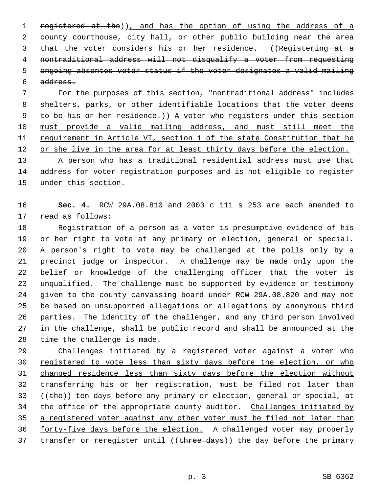1 registered at the)), and has the option of using the address of a county courthouse, city hall, or other public building near the area 3 that the voter considers his or her residence. ((Registering at a nontraditional address will not disqualify a voter from requesting ongoing absentee voter status if the voter designates a valid mailing address.

 For the purposes of this section, "nontraditional address" includes 8 shelters, parks, or other identifiable locations that the voter deems 9 to be his or her residence.) A voter who registers under this section must provide a valid mailing address, and must still meet the requirement in Article VI, section 1 of the state Constitution that he 12 or she live in the area for at least thirty days before the election.

13 A person who has a traditional residential address must use that address for voter registration purposes and is not eligible to register 15 under this section.

 **Sec. 4.** RCW 29A.08.810 and 2003 c 111 s 253 are each amended to read as follows:

 Registration of a person as a voter is presumptive evidence of his or her right to vote at any primary or election, general or special. A person's right to vote may be challenged at the polls only by a precinct judge or inspector. A challenge may be made only upon the belief or knowledge of the challenging officer that the voter is unqualified. The challenge must be supported by evidence or testimony given to the county canvassing board under RCW 29A.08.820 and may not be based on unsupported allegations or allegations by anonymous third parties. The identity of the challenger, and any third person involved in the challenge, shall be public record and shall be announced at the time the challenge is made.

29 Challenges initiated by a registered voter against a voter who 30 registered to vote less than sixty days before the election, or who changed residence less than sixty days before the election without 32 transferring his or her registration, must be filed not later than 33 (( $the$ )) ten days before any primary or election, general or special, at 34 the office of the appropriate county auditor. Challenges initiated by a registered voter against any other voter must be filed not later than 36 forty-five days before the election. A challenged voter may properly 37 transfer or reregister until ((three days)) the day before the primary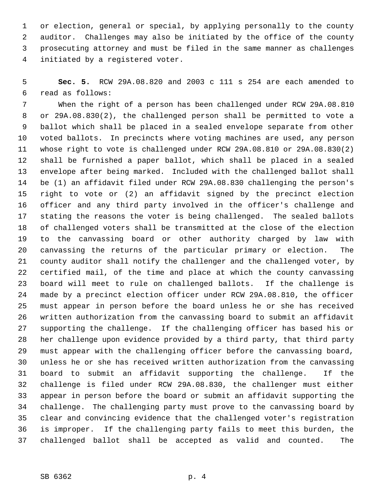or election, general or special, by applying personally to the county auditor. Challenges may also be initiated by the office of the county prosecuting attorney and must be filed in the same manner as challenges initiated by a registered voter.

 **Sec. 5.** RCW 29A.08.820 and 2003 c 111 s 254 are each amended to read as follows:

 When the right of a person has been challenged under RCW 29A.08.810 or 29A.08.830(2), the challenged person shall be permitted to vote a ballot which shall be placed in a sealed envelope separate from other voted ballots. In precincts where voting machines are used, any person whose right to vote is challenged under RCW 29A.08.810 or 29A.08.830(2) shall be furnished a paper ballot, which shall be placed in a sealed envelope after being marked. Included with the challenged ballot shall be (1) an affidavit filed under RCW 29A.08.830 challenging the person's right to vote or (2) an affidavit signed by the precinct election officer and any third party involved in the officer's challenge and stating the reasons the voter is being challenged. The sealed ballots of challenged voters shall be transmitted at the close of the election to the canvassing board or other authority charged by law with canvassing the returns of the particular primary or election. The county auditor shall notify the challenger and the challenged voter, by certified mail, of the time and place at which the county canvassing board will meet to rule on challenged ballots. If the challenge is made by a precinct election officer under RCW 29A.08.810, the officer must appear in person before the board unless he or she has received written authorization from the canvassing board to submit an affidavit supporting the challenge. If the challenging officer has based his or her challenge upon evidence provided by a third party, that third party must appear with the challenging officer before the canvassing board, unless he or she has received written authorization from the canvassing board to submit an affidavit supporting the challenge. If the challenge is filed under RCW 29A.08.830, the challenger must either appear in person before the board or submit an affidavit supporting the challenge. The challenging party must prove to the canvassing board by clear and convincing evidence that the challenged voter's registration is improper. If the challenging party fails to meet this burden, the challenged ballot shall be accepted as valid and counted. The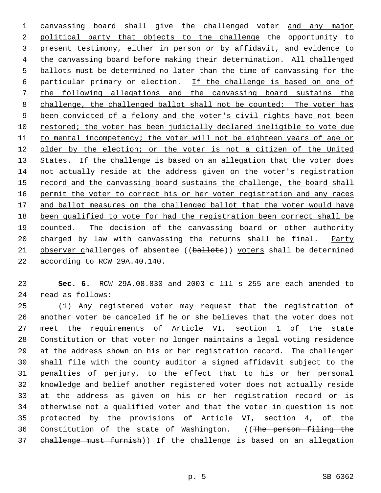1 canvassing board shall give the challenged voter and any major political party that objects to the challenge the opportunity to present testimony, either in person or by affidavit, and evidence to the canvassing board before making their determination. All challenged ballots must be determined no later than the time of canvassing for the particular primary or election. If the challenge is based on one of the following allegations and the canvassing board sustains the 8 challenge, the challenged ballot shall not be counted: The voter has 9 been convicted of a felony and the voter's civil rights have not been restored; the voter has been judicially declared ineligible to vote due 11 to mental incompetency; the voter will not be eighteen years of age or 12 older by the election; or the voter is not a citizen of the United 13 States. If the challenge is based on an allegation that the voter does not actually reside at the address given on the voter's registration 15 record and the canvassing board sustains the challenge, the board shall 16 permit the voter to correct his or her voter registration and any races 17 and ballot measures on the challenged ballot that the voter would have been qualified to vote for had the registration been correct shall be counted. The decision of the canvassing board or other authority 20 charged by law with canvassing the returns shall be final. Party 21 observer challenges of absentee ((ballots)) voters shall be determined according to RCW 29A.40.140.

 **Sec. 6.** RCW 29A.08.830 and 2003 c 111 s 255 are each amended to read as follows:

 (1) Any registered voter may request that the registration of another voter be canceled if he or she believes that the voter does not meet the requirements of Article VI, section 1 of the state Constitution or that voter no longer maintains a legal voting residence at the address shown on his or her registration record. The challenger shall file with the county auditor a signed affidavit subject to the penalties of perjury, to the effect that to his or her personal knowledge and belief another registered voter does not actually reside at the address as given on his or her registration record or is otherwise not a qualified voter and that the voter in question is not protected by the provisions of Article VI, section 4, of the 36 Constitution of the state of Washington. ((The person filing the challenge must furnish)) If the challenge is based on an allegation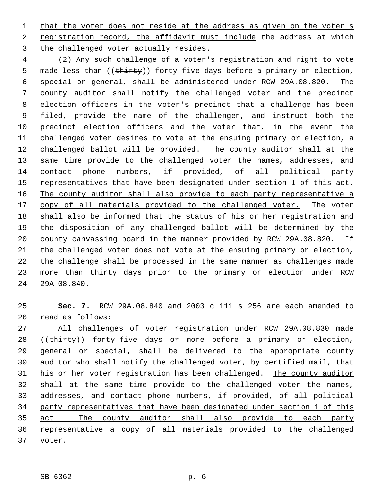1 that the voter does not reside at the address as given on the voter's registration record, the affidavit must include the address at which the challenged voter actually resides.

 (2) Any such challenge of a voter's registration and right to vote 5 made less than ((thirty)) forty-five days before a primary or election, special or general, shall be administered under RCW 29A.08.820. The county auditor shall notify the challenged voter and the precinct election officers in the voter's precinct that a challenge has been filed, provide the name of the challenger, and instruct both the precinct election officers and the voter that, in the event the challenged voter desires to vote at the ensuing primary or election, a 12 challenged ballot will be provided. The county auditor shall at the 13 same time provide to the challenged voter the names, addresses, and contact phone numbers, if provided, of all political party 15 representatives that have been designated under section 1 of this act. 16 The county auditor shall also provide to each party representative a 17 copy of all materials provided to the challenged voter. The voter shall also be informed that the status of his or her registration and the disposition of any challenged ballot will be determined by the county canvassing board in the manner provided by RCW 29A.08.820. If the challenged voter does not vote at the ensuing primary or election, the challenge shall be processed in the same manner as challenges made more than thirty days prior to the primary or election under RCW 29A.08.840.

 **Sec. 7.** RCW 29A.08.840 and 2003 c 111 s 256 are each amended to read as follows:

 All challenges of voter registration under RCW 29A.08.830 made 28 ((thirty)) forty-five days or more before a primary or election, general or special, shall be delivered to the appropriate county auditor who shall notify the challenged voter, by certified mail, that his or her voter registration has been challenged. The county auditor 32 shall at the same time provide to the challenged voter the names, addresses, and contact phone numbers, if provided, of all political party representatives that have been designated under section 1 of this act. The county auditor shall also provide to each party 36 representative a copy of all materials provided to the challenged voter.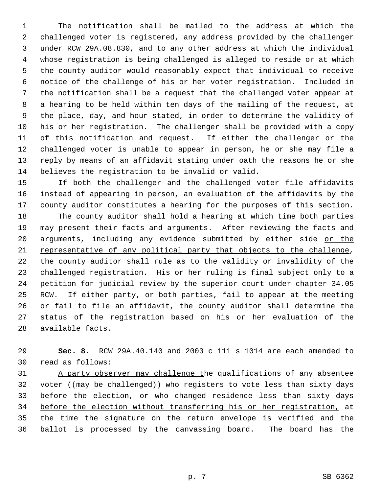The notification shall be mailed to the address at which the challenged voter is registered, any address provided by the challenger under RCW 29A.08.830, and to any other address at which the individual whose registration is being challenged is alleged to reside or at which the county auditor would reasonably expect that individual to receive notice of the challenge of his or her voter registration. Included in the notification shall be a request that the challenged voter appear at a hearing to be held within ten days of the mailing of the request, at the place, day, and hour stated, in order to determine the validity of his or her registration. The challenger shall be provided with a copy of this notification and request. If either the challenger or the challenged voter is unable to appear in person, he or she may file a reply by means of an affidavit stating under oath the reasons he or she believes the registration to be invalid or valid.

 If both the challenger and the challenged voter file affidavits instead of appearing in person, an evaluation of the affidavits by the county auditor constitutes a hearing for the purposes of this section. The county auditor shall hold a hearing at which time both parties may present their facts and arguments. After reviewing the facts and 20 arguments, including any evidence submitted by either side or the representative of any political party that objects to the challenge, the county auditor shall rule as to the validity or invalidity of the challenged registration. His or her ruling is final subject only to a petition for judicial review by the superior court under chapter 34.05 RCW. If either party, or both parties, fail to appear at the meeting or fail to file an affidavit, the county auditor shall determine the status of the registration based on his or her evaluation of the available facts.

 **Sec. 8.** RCW 29A.40.140 and 2003 c 111 s 1014 are each amended to read as follows:

 A party observer may challenge the qualifications of any absentee 32 voter ((may be challenged)) who registers to vote less than sixty days 33 before the election, or who changed residence less than sixty days before the election without transferring his or her registration, at the time the signature on the return envelope is verified and the ballot is processed by the canvassing board. The board has the